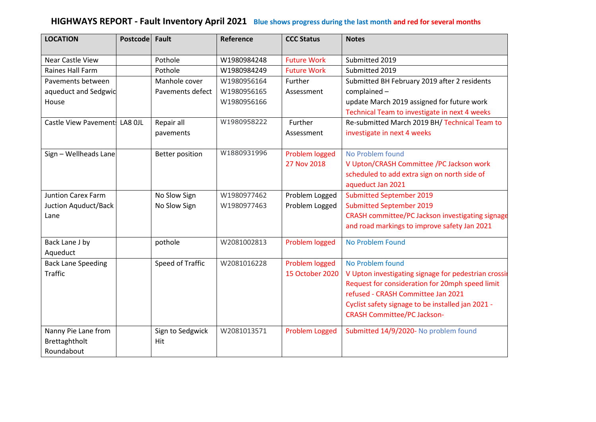## **HIGHWAYS REPORT - Fault Inventory April 2021 Blue shows progress during the last month and red for several months**

| <b>LOCATION</b>               | <b>Postcode</b> | <b>Fault</b>           | Reference   | <b>CCC Status</b>     | <b>Notes</b>                                         |
|-------------------------------|-----------------|------------------------|-------------|-----------------------|------------------------------------------------------|
| Near Castle View              |                 | Pothole                | W1980984248 | <b>Future Work</b>    | Submitted 2019                                       |
| Raines Hall Farm              |                 | Pothole                | W1980984249 | <b>Future Work</b>    | Submitted 2019                                       |
| Pavements between             |                 | Manhole cover          | W1980956164 | Further               | Submitted BH February 2019 after 2 residents         |
| aqueduct and Sedgwic          |                 | Pavements defect       | W1980956165 | Assessment            | complained-                                          |
| House                         |                 |                        | W1980956166 |                       | update March 2019 assigned for future work           |
|                               |                 |                        |             |                       | Technical Team to investigate in next 4 weeks        |
| Castle View Pavement: LA8 OJL |                 | Repair all             | W1980958222 | Further               | Re-submitted March 2019 BH/ Technical Team to        |
|                               |                 | pavements              |             | Assessment            | investigate in next 4 weeks                          |
| Sign - Wellheads Lane         |                 | <b>Better position</b> | W1880931996 | Problem logged        | No Problem found                                     |
|                               |                 |                        |             | 27 Nov 2018           | V Upton/CRASH Committee /PC Jackson work             |
|                               |                 |                        |             |                       | scheduled to add extra sign on north side of         |
|                               |                 |                        |             |                       | aqueduct Jan 2021                                    |
| <b>Juntion Carex Farm</b>     |                 | No Slow Sign           | W1980977462 | Problem Logged        | <b>Submitted September 2019</b>                      |
| Juction Aquduct/Back          |                 | No Slow Sign           | W1980977463 | Problem Logged        | <b>Submitted September 2019</b>                      |
| Lane                          |                 |                        |             |                       | CRASH committee/PC Jackson investigating signage     |
|                               |                 |                        |             |                       | and road markings to improve safety Jan 2021         |
| Back Lane J by                |                 | pothole                | W2081002813 | Problem logged        | No Problem Found                                     |
| Aqueduct                      |                 |                        |             |                       |                                                      |
| <b>Back Lane Speeding</b>     |                 | Speed of Traffic       | W2081016228 | Problem logged        | No Problem found                                     |
| <b>Traffic</b>                |                 |                        |             | 15 October 2020       | V Upton investigating signage for pedestrian crossir |
|                               |                 |                        |             |                       | Request for consideration for 20mph speed limit      |
|                               |                 |                        |             |                       | refused - CRASH Committee Jan 2021                   |
|                               |                 |                        |             |                       | Cyclist safety signage to be installed jan 2021 -    |
|                               |                 |                        |             |                       | <b>CRASH Committee/PC Jackson-</b>                   |
| Nanny Pie Lane from           |                 | Sign to Sedgwick       | W2081013571 | <b>Problem Logged</b> | Submitted 14/9/2020- No problem found                |
| Brettaghtholt                 |                 | Hit                    |             |                       |                                                      |
| Roundabout                    |                 |                        |             |                       |                                                      |